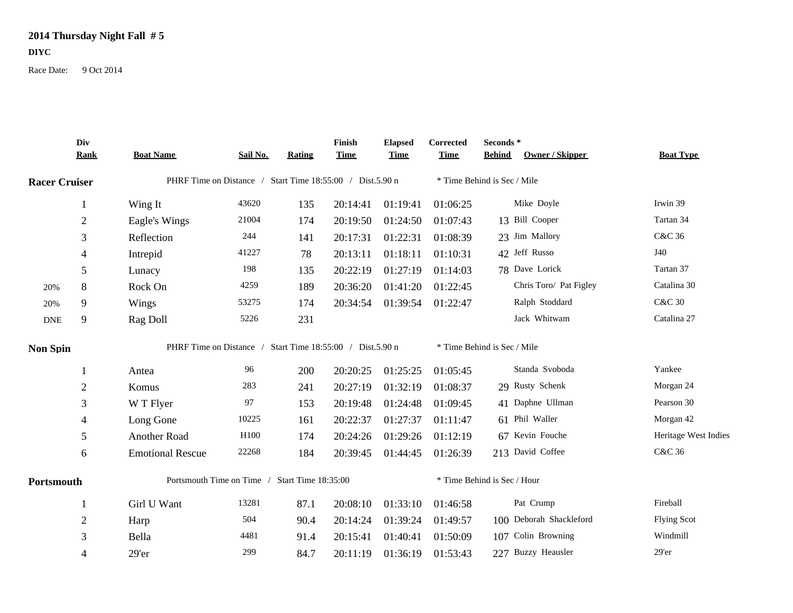## **2014 Thursday Night Fall # 5**

**DIYC**

Race Date: 9 Oct 2014

|                      | Div<br><b>Rank</b> | <b>Boat Name</b>                                          | Sail No. | Rating | Finish<br><b>Time</b> | <b>Elapsed</b><br><b>Time</b> | <b>Corrected</b><br><b>Time</b> | Seconds *<br>Owner / Skipper<br><b>Behind</b> | <b>Boat Type</b>     |  |  |  |
|----------------------|--------------------|-----------------------------------------------------------|----------|--------|-----------------------|-------------------------------|---------------------------------|-----------------------------------------------|----------------------|--|--|--|
| <b>Racer Cruiser</b> |                    | PHRF Time on Distance / Start Time 18:55:00 / Dist.5.90 n |          |        |                       |                               |                                 | * Time Behind is Sec / Mile                   |                      |  |  |  |
|                      | 1                  | Wing It                                                   | 43620    | 135    | 20:14:41              | 01:19:41                      | 01:06:25                        | Mike Doyle                                    | Irwin 39             |  |  |  |
|                      | $\mathbf{2}$       | Eagle's Wings                                             | 21004    | 174    | 20:19:50              | 01:24:50                      | 01:07:43                        | 13 Bill Cooper                                | Tartan 34            |  |  |  |
|                      | 3                  | Reflection                                                | 244      | 141    | 20:17:31              | 01:22:31                      | 01:08:39                        | 23 Jim Mallory                                | C&C 36               |  |  |  |
|                      | 4                  | Intrepid                                                  | 41227    | 78     | 20:13:11              | 01:18:11                      | 01:10:31                        | 42 Jeff Russo                                 | J40                  |  |  |  |
|                      | 5                  | Lunacy                                                    | 198      | 135    | 20:22:19              | 01:27:19                      | 01:14:03                        | 78 Dave Lorick                                | Tartan 37            |  |  |  |
| 20%                  | 8                  | Rock On                                                   | 4259     | 189    | 20:36:20              | 01:41:20                      | 01:22:45                        | Chris Toro/ Pat Figley                        | Catalina 30          |  |  |  |
| 20%                  | 9                  | Wings                                                     | 53275    | 174    | 20:34:54              | 01:39:54                      | 01:22:47                        | Ralph Stoddard                                | <b>C&amp;C 30</b>    |  |  |  |
| <b>DNE</b>           | 9                  | Rag Doll                                                  | 5226     | 231    |                       |                               |                                 | Jack Whitwam                                  | Catalina 27          |  |  |  |
| <b>Non Spin</b>      |                    | PHRF Time on Distance / Start Time 18:55:00 / Dist.5.90 n |          |        |                       |                               |                                 | * Time Behind is Sec / Mile                   |                      |  |  |  |
|                      |                    | Antea                                                     | 96       | 200    | 20:20:25              | 01:25:25                      | 01:05:45                        | Standa Svoboda                                | Yankee               |  |  |  |
|                      | $\mathbf{2}$       | Komus                                                     | 283      | 241    | 20:27:19              | 01:32:19                      | 01:08:37                        | 29 Rusty Schenk                               | Morgan 24            |  |  |  |
|                      | 3                  | W T Flyer                                                 | 97       | 153    | 20:19:48              | 01:24:48                      | 01:09:45                        | 41 Daphne Ullman                              | Pearson 30           |  |  |  |
|                      | 4                  | Long Gone                                                 | 10225    | 161    | 20:22:37              | 01:27:37                      | 01:11:47                        | 61 Phil Waller                                | Morgan 42            |  |  |  |
|                      | 5                  | Another Road                                              | H100     | 174    | 20:24:26              | 01:29:26                      | 01:12:19                        | 67 Kevin Fouche                               | Heritage West Indies |  |  |  |
|                      | 6                  | <b>Emotional Rescue</b>                                   | 22268    | 184    | 20:39:45              | 01:44:45                      | 01:26:39                        | 213 David Coffee                              | C&C 36               |  |  |  |
| Portsmouth           |                    | Portsmouth Time on Time / Start Time 18:35:00             |          |        |                       |                               | * Time Behind is Sec / Hour     |                                               |                      |  |  |  |
|                      |                    | Girl U Want                                               | 13281    | 87.1   | 20:08:10              | 01:33:10                      | 01:46:58                        | Pat Crump                                     | Fireball             |  |  |  |
|                      | 2                  | Harp                                                      | 504      | 90.4   | 20:14:24              | 01:39:24                      | 01:49:57                        | 100 Deborah Shackleford                       | <b>Flying Scot</b>   |  |  |  |
|                      | 3                  | Bella                                                     | 4481     | 91.4   | 20:15:41              | 01:40:41                      | 01:50:09                        | 107 Colin Browning                            | Windmill             |  |  |  |
|                      | 4                  | 29'er                                                     | 299      | 84.7   | 20:11:19              | 01:36:19                      | 01:53:43                        | 227 Buzzy Heausler                            | 29'er                |  |  |  |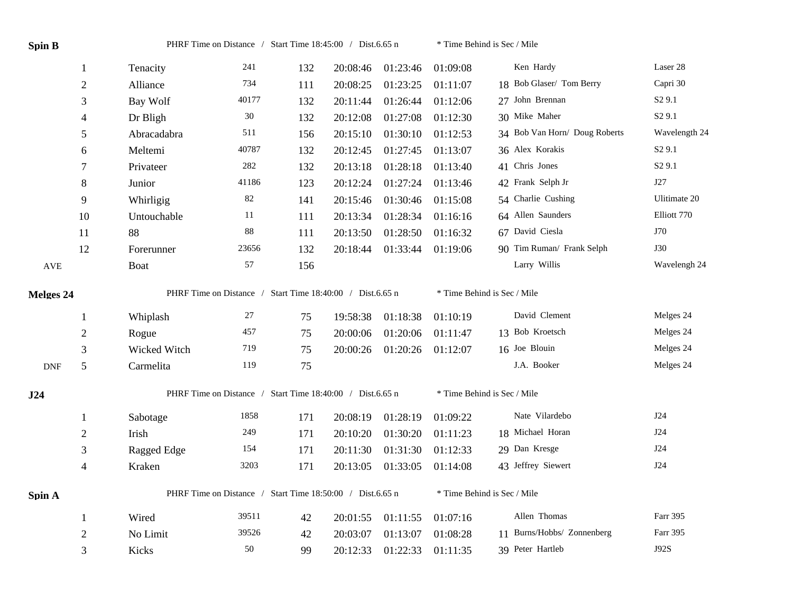| <b>Spin B</b>               |                                                           | PHRF Time on Distance / Start Time 18:45:00 / Dist.6.65 n |       |     |                             |          | * Time Behind is Sec / Mile |                               |                    |  |
|-----------------------------|-----------------------------------------------------------|-----------------------------------------------------------|-------|-----|-----------------------------|----------|-----------------------------|-------------------------------|--------------------|--|
|                             | $\mathbf{1}$                                              | Tenacity                                                  | 241   | 132 | 20:08:46                    | 01:23:46 | 01:09:08                    | Ken Hardy                     | Laser 28           |  |
|                             | $\mathfrak{2}$                                            | Alliance                                                  | 734   | 111 | 20:08:25                    | 01:23:25 | 01:11:07                    | 18 Bob Glaser/ Tom Berry      | Capri 30           |  |
|                             | 3                                                         | Bay Wolf                                                  | 40177 | 132 | 20:11:44                    | 01:26:44 | 01:12:06                    | 27 John Brennan               | S <sub>2</sub> 9.1 |  |
|                             | $\overline{4}$                                            | Dr Bligh                                                  | 30    | 132 | 20:12:08                    | 01:27:08 | 01:12:30                    | 30 Mike Maher                 | S <sub>2</sub> 9.1 |  |
|                             | 5                                                         | Abracadabra                                               | 511   | 156 | 20:15:10                    | 01:30:10 | 01:12:53                    | 34 Bob Van Horn/ Doug Roberts | Wavelength 24      |  |
|                             | 6                                                         | Meltemi                                                   | 40787 | 132 | 20:12:45                    | 01:27:45 | 01:13:07                    | 36 Alex Korakis               | S <sub>2</sub> 9.1 |  |
|                             | 7                                                         | Privateer                                                 | 282   | 132 | 20:13:18                    | 01:28:18 | 01:13:40                    | 41 Chris Jones                | S <sub>2</sub> 9.1 |  |
|                             | $8\,$                                                     | Junior                                                    | 41186 | 123 | 20:12:24                    | 01:27:24 | 01:13:46                    | 42 Frank Selph Jr             | J27                |  |
|                             | 9                                                         | Whirligig                                                 | 82    | 141 | 20:15:46                    | 01:30:46 | 01:15:08                    | 54 Charlie Cushing            | Ulitimate 20       |  |
|                             | 10                                                        | Untouchable                                               | 11    | 111 | 20:13:34                    | 01:28:34 | 01:16:16                    | 64 Allen Saunders             | Elliott 770        |  |
|                             | 11                                                        | 88                                                        | 88    | 111 | 20:13:50                    | 01:28:50 | 01:16:32                    | 67 David Ciesla               | J70                |  |
|                             | 12                                                        | Forerunner                                                | 23656 | 132 | 20:18:44                    | 01:33:44 | 01:19:06                    | 90 Tim Ruman/ Frank Selph     | J30                |  |
| $\operatorname{AVE}$        |                                                           | <b>Boat</b>                                               | 57    | 156 |                             |          |                             | Larry Willis                  | Wavelengh 24       |  |
| Melges 24                   |                                                           | PHRF Time on Distance / Start Time 18:40:00 / Dist.6.65 n |       |     |                             |          | * Time Behind is Sec / Mile |                               |                    |  |
|                             | $\mathbf{1}$                                              | Whiplash                                                  | 27    | 75  | 19:58:38                    | 01:18:38 | 01:10:19                    | David Clement                 | Melges 24          |  |
|                             | $\overline{2}$                                            | Rogue                                                     | 457   | 75  | 20:00:06                    | 01:20:06 | 01:11:47                    | 13 Bob Kroetsch               | Melges 24          |  |
|                             | 3                                                         | Wicked Witch                                              | 719   | 75  | 20:00:26                    | 01:20:26 | 01:12:07                    | 16 Joe Blouin                 | Melges 24          |  |
| $\ensuremath{\mathsf{DNF}}$ | 5                                                         | Carmelita                                                 | 119   | 75  |                             |          |                             | J.A. Booker                   | Melges 24          |  |
| J24                         | PHRF Time on Distance / Start Time 18:40:00 / Dist.6.65 n |                                                           |       |     | * Time Behind is Sec / Mile |          |                             |                               |                    |  |
|                             | 1                                                         | Sabotage                                                  | 1858  | 171 | 20:08:19                    | 01:28:19 | 01:09:22                    | Nate Vilardebo                | J24                |  |
|                             | $\mathbf{2}$                                              | Irish                                                     | 249   | 171 | 20:10:20                    | 01:30:20 | 01:11:23                    | 18 Michael Horan              | J24                |  |
|                             | 3                                                         | Ragged Edge                                               | 154   | 171 | 20:11:30                    | 01:31:30 | 01:12:33                    | 29 Dan Kresge                 | J24                |  |
|                             | $\overline{4}$                                            | Kraken                                                    | 3203  | 171 | 20:13:05                    | 01:33:05 | 01:14:08                    | 43 Jeffrey Siewert            | J24                |  |
| Spin A                      |                                                           | PHRF Time on Distance / Start Time 18:50:00 / Dist.6.65 n |       |     |                             |          | * Time Behind is Sec / Mile |                               |                    |  |
|                             | $\mathbf{1}$                                              | Wired                                                     | 39511 | 42  | 20:01:55                    | 01:11:55 | 01:07:16                    | Allen Thomas                  | Farr 395           |  |
|                             | $\overline{2}$                                            | No Limit                                                  | 39526 | 42  | 20:03:07                    | 01:13:07 | 01:08:28                    | 11 Burns/Hobbs/ Zonnenberg    | Farr 395           |  |
|                             | 3                                                         | Kicks                                                     | 50    | 99  | 20:12:33                    | 01:22:33 | 01:11:35                    | 39 Peter Hartleb              | J92S               |  |